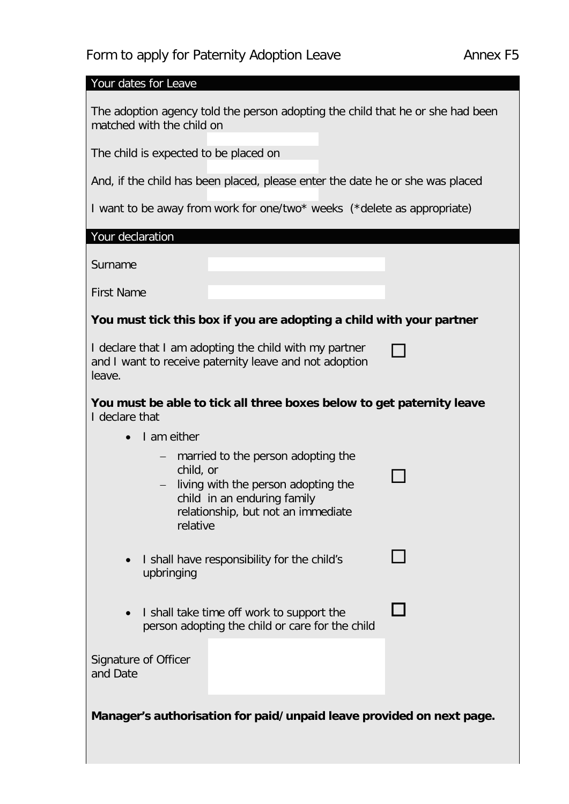## Form to apply for Paternity Adoption Leave **Annex F5**

Your dates for Leave

The adoption agency told the person adopting the child that he or she had been matched with the child on

The child is expected to be placed on

And, if the child has been placed, please enter the date he or she was placed

I want to be away from work for one/two\* weeks (\*delete as appropriate)

Your declaration

Surname

First Name

## **You must tick this box if you are adopting a child with your partner**

 $\Box$ 

П

П

I declare that I am adopting the child with my partner and I want to receive paternity leave and not adoption leave.

| You must be able to tick all three boxes below to get paternity leave |  |
|-----------------------------------------------------------------------|--|
| I declare that                                                        |  |

- I am either
	- married to the person adopting the child, or
	- <sup>−</sup> living with the person adopting the child in an enduring family relationship, but not an immediate relative
- I shall have responsibility for the child's upbringing
- I shall take time off work to support the person adopting the child or care for the child

Signature of Officer and Date

**Manager's authorisation for paid/unpaid leave provided on next page.**